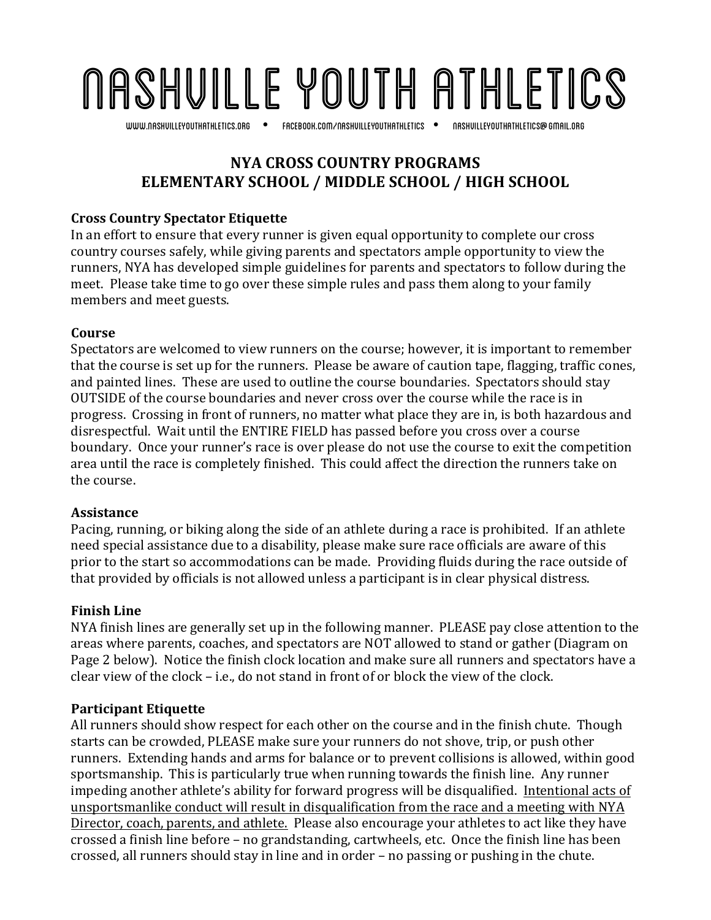## Nashville youth Athletics

www.nashvilleyouthathletics.org facebook.com/nashvilleyouthathletics nashvilleyouthathletics@gmail.org

## **NYA CROSS COUNTRY PROGRAMS ELEMENTARY SCHOOL / MIDDLE SCHOOL / HIGH SCHOOL**

### **Cross Country Spectator Etiquette**

In an effort to ensure that every runner is given equal opportunity to complete our cross country courses safely, while giving parents and spectators ample opportunity to view the runners, NYA has developed simple guidelines for parents and spectators to follow during the meet. Please take time to go over these simple rules and pass them along to your family members and meet guests.

#### **Course**

Spectators are welcomed to view runners on the course; however, it is important to remember that the course is set up for the runners. Please be aware of caution tape, flagging, traffic cones, and painted lines. These are used to outline the course boundaries. Spectators should stay OUTSIDE of the course boundaries and never cross over the course while the race is in progress. Crossing in front of runners, no matter what place they are in, is both hazardous and disrespectful. Wait until the ENTIRE FIELD has passed before you cross over a course boundary. Once your runner's race is over please do not use the course to exit the competition area until the race is completely finished. This could affect the direction the runners take on the course.

### **Assistance**

Pacing, running, or biking along the side of an athlete during a race is prohibited. If an athlete need special assistance due to a disability, please make sure race officials are aware of this prior to the start so accommodations can be made. Providing fluids during the race outside of that provided by officials is not allowed unless a participant is in clear physical distress.

### **Finish Line**

NYA finish lines are generally set up in the following manner. PLEASE pay close attention to the areas where parents, coaches, and spectators are NOT allowed to stand or gather (Diagram on Page 2 below). Notice the finish clock location and make sure all runners and spectators have a clear view of the clock  $-$  i.e., do not stand in front of or block the view of the clock.

### **Participant Etiquette**

All runners should show respect for each other on the course and in the finish chute. Though starts can be crowded, PLEASE make sure your runners do not shove, trip, or push other runners. Extending hands and arms for balance or to prevent collisions is allowed, within good sportsmanship. This is particularly true when running towards the finish line. Any runner impeding another athlete's ability for forward progress will be disqualified. Intentional acts of unsportsmanlike conduct will result in disqualification from the race and a meeting with NYA Director, coach, parents, and athlete. Please also encourage your athletes to act like they have crossed a finish line before – no grandstanding, cartwheels, etc. Once the finish line has been crossed, all runners should stay in line and in order - no passing or pushing in the chute.